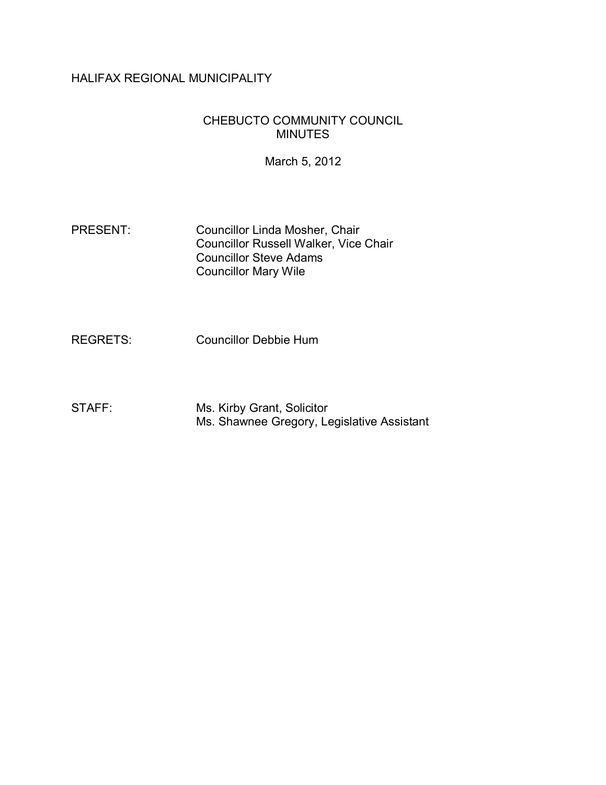# HALIFAX REGIONAL MUNICIPALITY

# CHEBUCTO COMMUNITY COUNCIL MINUTES

March 5, 2012

PRESENT: Councillor Linda Mosher, Chair Councillor Russell Walker, Vice Chair Councillor Steve Adams Councillor Mary Wile

REGRETS: Councillor Debbie Hum

STAFF: Ms. Kirby Grant, Solicitor Ms. Shawnee Gregory, Legislative Assistant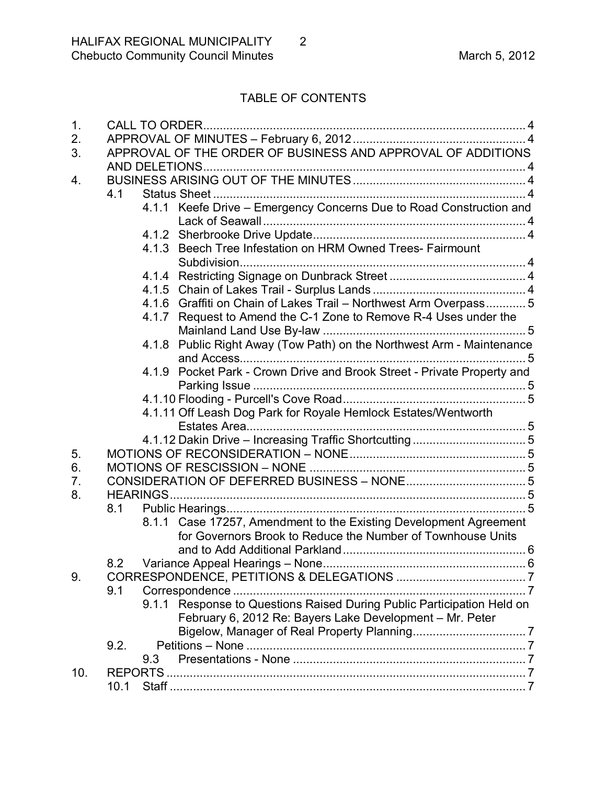# TABLE OF CONTENTS

| 1.  |                                                             | CALL TO ORDER. |                                                                         |  |  |
|-----|-------------------------------------------------------------|----------------|-------------------------------------------------------------------------|--|--|
| 2.  |                                                             |                |                                                                         |  |  |
| 3.  | APPROVAL OF THE ORDER OF BUSINESS AND APPROVAL OF ADDITIONS |                |                                                                         |  |  |
|     |                                                             |                |                                                                         |  |  |
| 4.  |                                                             |                |                                                                         |  |  |
|     | 4.1                                                         |                |                                                                         |  |  |
|     |                                                             |                | 4.1.1 Keefe Drive - Emergency Concerns Due to Road Construction and     |  |  |
|     |                                                             |                |                                                                         |  |  |
|     |                                                             |                |                                                                         |  |  |
|     |                                                             |                | 4.1.3 Beech Tree Infestation on HRM Owned Trees- Fairmount              |  |  |
|     |                                                             |                |                                                                         |  |  |
|     |                                                             |                |                                                                         |  |  |
|     |                                                             |                |                                                                         |  |  |
|     |                                                             |                | 4.1.6 Graffiti on Chain of Lakes Trail - Northwest Arm Overpass 5       |  |  |
|     |                                                             |                | 4.1.7 Request to Amend the C-1 Zone to Remove R-4 Uses under the        |  |  |
|     |                                                             |                |                                                                         |  |  |
|     |                                                             |                | 4.1.8 Public Right Away (Tow Path) on the Northwest Arm - Maintenance   |  |  |
|     |                                                             |                |                                                                         |  |  |
|     |                                                             |                | 4.1.9 Pocket Park - Crown Drive and Brook Street - Private Property and |  |  |
|     |                                                             |                |                                                                         |  |  |
|     |                                                             |                |                                                                         |  |  |
|     |                                                             |                | 4.1.11 Off Leash Dog Park for Royale Hemlock Estates/Wentworth          |  |  |
|     |                                                             |                |                                                                         |  |  |
|     |                                                             |                |                                                                         |  |  |
| 5.  |                                                             |                |                                                                         |  |  |
| 6.  |                                                             |                |                                                                         |  |  |
| 7.  |                                                             |                |                                                                         |  |  |
| 8.  |                                                             |                |                                                                         |  |  |
|     | 8.1                                                         |                |                                                                         |  |  |
|     |                                                             |                | 8.1.1 Case 17257, Amendment to the Existing Development Agreement       |  |  |
|     |                                                             |                | for Governors Brook to Reduce the Number of Townhouse Units             |  |  |
|     |                                                             |                |                                                                         |  |  |
|     | 8.2                                                         |                |                                                                         |  |  |
| 9.  |                                                             |                |                                                                         |  |  |
|     | 9.1                                                         |                |                                                                         |  |  |
|     |                                                             |                | 9.1.1 Response to Questions Raised During Public Participation Held on  |  |  |
|     |                                                             |                | February 6, 2012 Re: Bayers Lake Development - Mr. Peter                |  |  |
|     |                                                             |                |                                                                         |  |  |
|     | 9.2.                                                        |                |                                                                         |  |  |
|     |                                                             | 9.3            |                                                                         |  |  |
| 10. |                                                             |                |                                                                         |  |  |
|     | 10.1                                                        |                |                                                                         |  |  |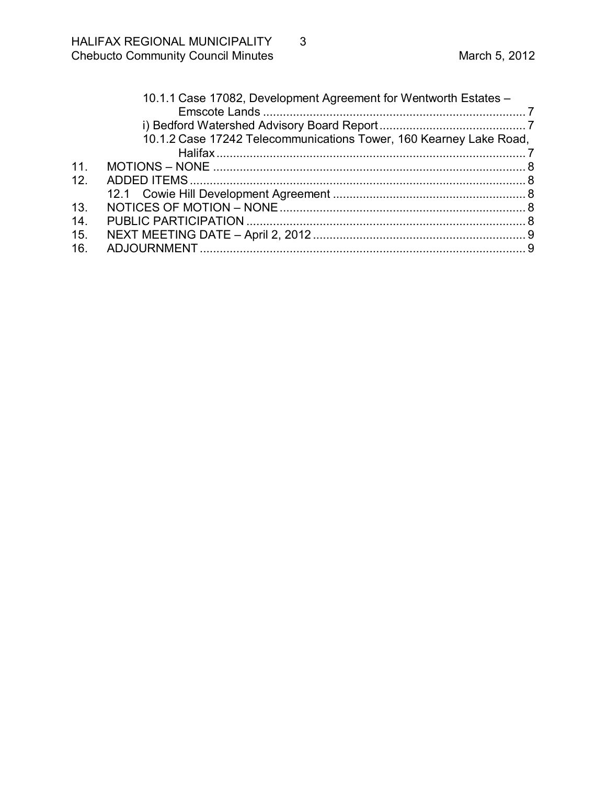|     | 10.1.1 Case 17082, Development Agreement for Wentworth Estates -   |  |  |  |
|-----|--------------------------------------------------------------------|--|--|--|
|     |                                                                    |  |  |  |
|     |                                                                    |  |  |  |
|     | 10.1.2 Case 17242 Telecommunications Tower, 160 Kearney Lake Road, |  |  |  |
|     |                                                                    |  |  |  |
| 11  |                                                                    |  |  |  |
| 12. |                                                                    |  |  |  |
|     |                                                                    |  |  |  |
| 13. |                                                                    |  |  |  |
| 14. |                                                                    |  |  |  |
| 15. |                                                                    |  |  |  |
| 16. |                                                                    |  |  |  |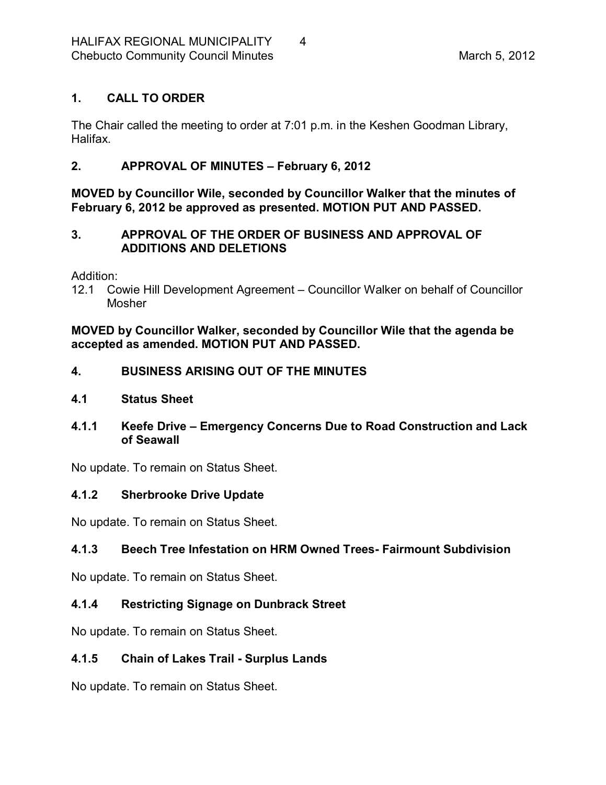# <span id="page-3-0"></span>**1. CALL TO ORDER**

The Chair called the meeting to order at 7:01 p.m. in the Keshen Goodman Library, Halifax.

# <span id="page-3-1"></span>**2. APPROVAL OF MINUTES – February 6, 2012**

**MOVED by Councillor Wile, seconded by Councillor Walker that the minutes of February 6, 2012 be approved as presented. MOTION PUT AND PASSED.** 

# <span id="page-3-2"></span>**3. APPROVAL OF THE ORDER OF BUSINESS AND APPROVAL OF ADDITIONS AND DELETIONS**

Addition:

12.1 Cowie Hill Development Agreement – Councillor Walker on behalf of Councillor Mosher

**MOVED by Councillor Walker, seconded by Councillor Wile that the agenda be accepted as amended. MOTION PUT AND PASSED.** 

# <span id="page-3-3"></span>**4. BUSINESS ARISING OUT OF THE MINUTES**

- <span id="page-3-4"></span>**4.1 Status Sheet**
- <span id="page-3-5"></span>**4.1.1 Keefe Drive – Emergency Concerns Due to Road Construction and Lack of Seawall**

No update. To remain on Status Sheet.

# <span id="page-3-6"></span>**4.1.2 Sherbrooke Drive Update**

No update. To remain on Status Sheet.

# <span id="page-3-7"></span>**4.1.3 Beech Tree Infestation on HRM Owned Trees Fairmount Subdivision**

No update. To remain on Status Sheet.

# <span id="page-3-8"></span>**4.1.4 Restricting Signage on Dunbrack Street**

No update. To remain on Status Sheet.

# <span id="page-3-9"></span>**4.1.5 Chain of Lakes Trail Surplus Lands**

No update. To remain on Status Sheet.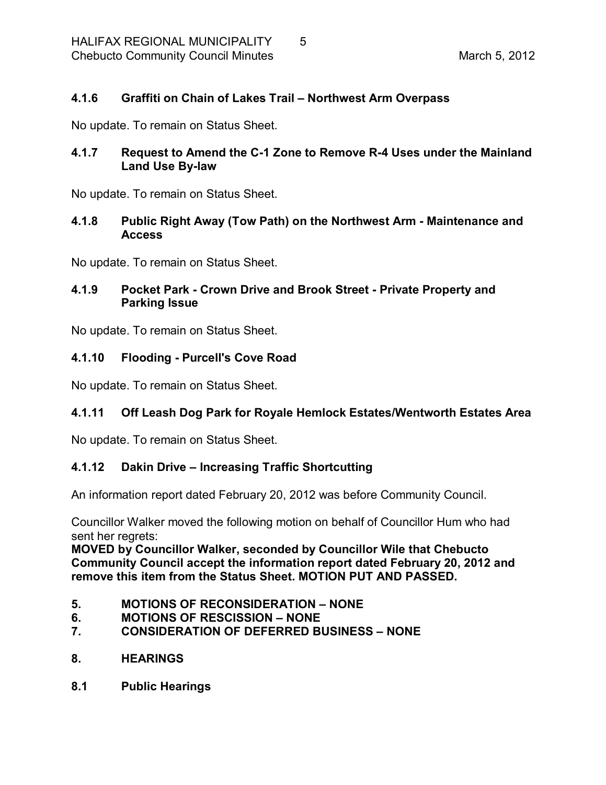## <span id="page-4-0"></span>**4.1.6 Graffiti on Chain of Lakes Trail – Northwest Arm Overpass**

No update. To remain on Status Sheet.

# <span id="page-4-1"></span>**4.1.7 Request to Amend the C1 Zone to Remove R4 Uses under the Mainland Land Use By-law**

No update. To remain on Status Sheet.

## <span id="page-4-2"></span>**4.1.8 Public Right Away (Tow Path) on the Northwest Arm Maintenance and Access**

No update. To remain on Status Sheet.

# <span id="page-4-3"></span>**4.1.9 Pocket Park Crown Drive and Brook Street Private Property and Parking Issue**

No update. To remain on Status Sheet.

### <span id="page-4-4"></span>**4.1.10 Flooding Purcell's Cove Road**

No update. To remain on Status Sheet.

# <span id="page-4-5"></span>**4.1.11 Off Leash Dog Park for Royale Hemlock Estates/Wentworth Estates Area**

No update. To remain on Status Sheet.

#### <span id="page-4-6"></span>**4.1.12 Dakin Drive – Increasing Traffic Shortcutting**

An information report dated February 20, 2012 was before Community Council.

Councillor Walker moved the following motion on behalf of Councillor Hum who had sent her regrets:

**MOVED by Councillor Walker, seconded by Councillor Wile that Chebucto Community Council accept the information report dated February 20, 2012 and remove this item from the Status Sheet. MOTION PUT AND PASSED.** 

- <span id="page-4-7"></span>**5. MOTIONS OF RECONSIDERATION – NONE**
- <span id="page-4-8"></span>**6. MOTIONS OF RESCISSION – NONE**
- <span id="page-4-9"></span>**7. CONSIDERATION OF DEFERRED BUSINESS – NONE**
- <span id="page-4-10"></span>**8. HEARINGS**
- <span id="page-4-11"></span>**8.1 Public Hearings**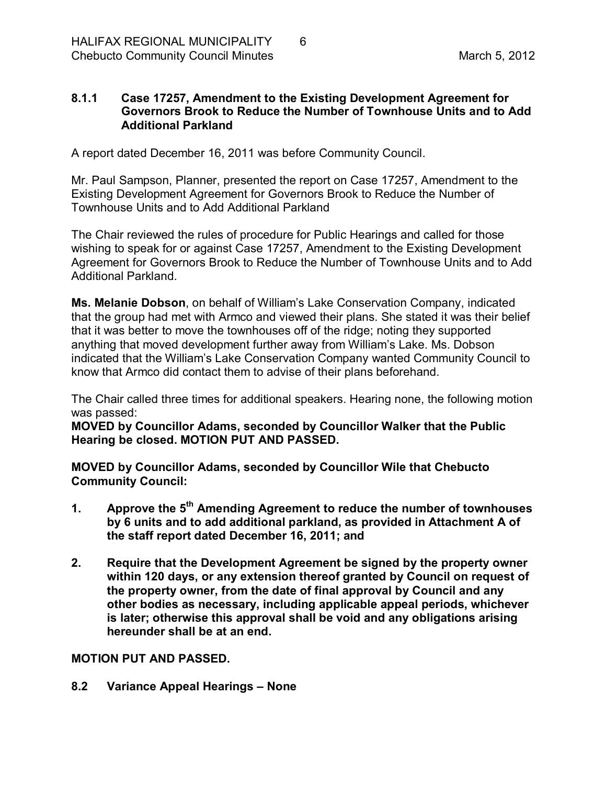## <span id="page-5-0"></span>**8.1.1 Case 17257, Amendment to the Existing Development Agreement for Governors Brook to Reduce the Number of Townhouse Units and to Add Additional Parkland**

A report dated December 16, 2011 was before Community Council.

Mr. Paul Sampson, Planner, presented the report on Case 17257, Amendment to the Existing Development Agreement for Governors Brook to Reduce the Number of Townhouse Units and to Add Additional Parkland

The Chair reviewed the rules of procedure for Public Hearings and called for those wishing to speak for or against Case 17257, Amendment to the Existing Development Agreement for Governors Brook to Reduce the Number of Townhouse Units and to Add Additional Parkland.

**Ms. Melanie Dobson**, on behalf of William's Lake Conservation Company, indicated that the group had met with Armco and viewed their plans. She stated it was their belief that it was better to move the townhouses off of the ridge; noting they supported anything that moved development further away from William's Lake. Ms. Dobson indicated that the William's Lake Conservation Company wanted Community Council to know that Armco did contact them to advise of their plans beforehand.

The Chair called three times for additional speakers. Hearing none, the following motion was passed:

**MOVED by Councillor Adams, seconded by Councillor Walker that the Public Hearing be closed. MOTION PUT AND PASSED.** 

**MOVED by Councillor Adams, seconded by Councillor Wile that Chebucto Community Council:**

- **1. Approve the 5 th Amending Agreement to reduce the number of townhouses by 6 units and to add additional parkland, as provided in Attachment A of the staff report dated December 16, 2011; and**
- **2. Require that the Development Agreement be signed by the property owner within 120 days, or any extension thereof granted by Council on request of the property owner, from the date of final approval by Council and any other bodies as necessary, including applicable appeal periods, whichever is later; otherwise this approval shall be void and any obligations arising hereunder shall be at an end.**

# **MOTION PUT AND PASSED.**

<span id="page-5-1"></span>**8.2 Variance Appeal Hearings – None**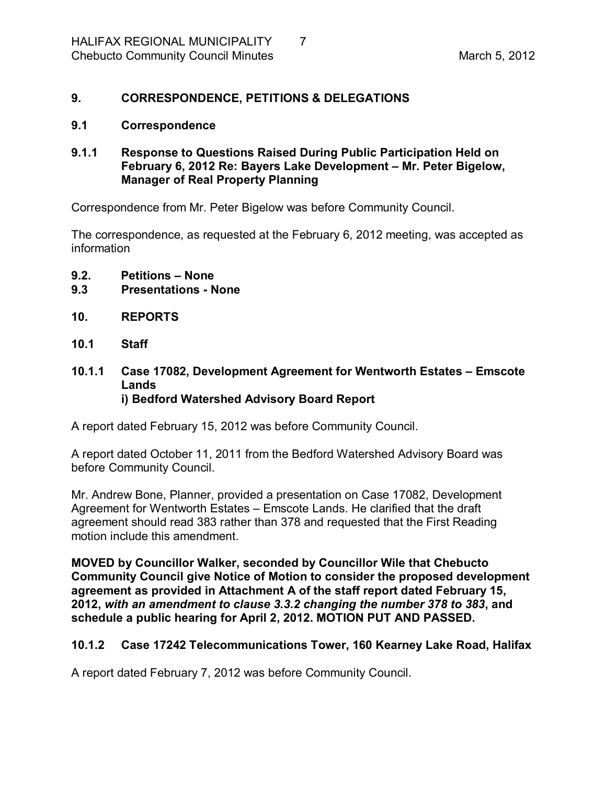# <span id="page-6-0"></span>**9. CORRESPONDENCE, PETITIONS & DELEGATIONS**

#### <span id="page-6-1"></span>**9.1 Correspondence**

### <span id="page-6-2"></span>**9.1.1 Response to Questions Raised During Public Participation Held on February 6, 2012 Re: Bayers Lake Development – Mr. Peter Bigelow, Manager of Real Property Planning**

Correspondence from Mr. Peter Bigelow was before Community Council.

The correspondence, as requested at the February 6, 2012 meeting, was accepted as information

- <span id="page-6-3"></span>**9.2. Petitions – None**
- <span id="page-6-4"></span>**9.3 Presentations None**
- <span id="page-6-5"></span>**10. REPORTS**
- <span id="page-6-6"></span>**10.1 Staff**
- <span id="page-6-8"></span><span id="page-6-7"></span>**10.1.1 Case 17082, Development Agreement for Wentworth Estates – Emscote Lands i) Bedford Watershed Advisory Board Report**

A report dated February 15, 2012 was before Community Council.

A report dated October 11, 2011 from the Bedford Watershed Advisory Board was before Community Council.

Mr. Andrew Bone, Planner, provided a presentation on Case 17082, Development Agreement for Wentworth Estates – Emscote Lands. He clarified that the draft agreement should read 383 rather than 378 and requested that the First Reading motion include this amendment.

**MOVED by Councillor Walker, seconded by Councillor Wile that Chebucto Community Council give Notice of Motion to consider the proposed development agreement as provided in Attachment A of the staff report dated February 15, 2012,** *with an amendment to clause 3.3.2 changing the number 378 to 383***, and schedule a public hearing for April 2, 2012. MOTION PUT AND PASSED.** 

# <span id="page-6-9"></span>**10.1.2 Case 17242 Telecommunications Tower, 160 Kearney Lake Road, Halifax**

A report dated February 7, 2012 was before Community Council.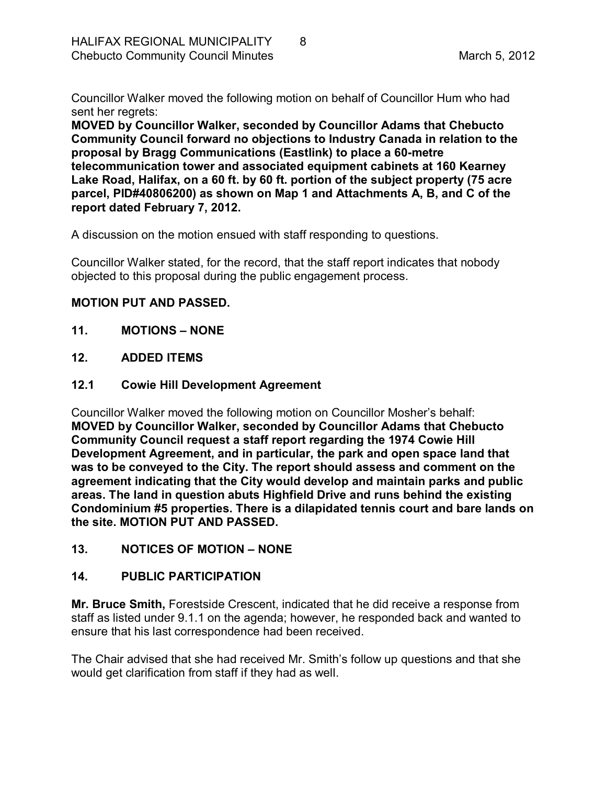Councillor Walker moved the following motion on behalf of Councillor Hum who had sent her regrets:

**MOVED by Councillor Walker, seconded by Councillor Adams that Chebucto Community Council forward no objections to Industry Canada in relation to the proposal by Bragg Communications (Eastlink) to place a 60metre telecommunication tower and associated equipment cabinets at 160 Kearney Lake Road, Halifax, on a 60 ft. by 60 ft. portion of the subject property (75 acre parcel, PID#40806200) as shown on Map 1 and Attachments A, B, and C of the report dated February 7, 2012.**

A discussion on the motion ensued with staff responding to questions.

Councillor Walker stated, for the record, that the staff report indicates that nobody objected to this proposal during the public engagement process.

# **MOTION PUT AND PASSED.**

- <span id="page-7-0"></span>**11. MOTIONS – NONE**
- <span id="page-7-1"></span>**12. ADDED ITEMS**
- <span id="page-7-2"></span>**12.1 Cowie Hill Development Agreement**

Councillor Walker moved the following motion on Councillor Mosher's behalf: **MOVED by Councillor Walker, seconded by Councillor Adams that Chebucto Community Council request a staff report regarding the 1974 Cowie Hill Development Agreement, and in particular, the park and open space land that was to be conveyed to the City. The report should assess and comment on the agreement indicating that the City would develop and maintain parks and public areas. The land in question abuts Highfield Drive and runs behind the existing Condominium #5 properties. There is a dilapidated tennis court and bare lands on the site. MOTION PUT AND PASSED.** 

<span id="page-7-3"></span>**13. NOTICES OF MOTION – NONE**

# <span id="page-7-4"></span>**14. PUBLIC PARTICIPATION**

**Mr. Bruce Smith,** Forestside Crescent, indicated that he did receive a response from staff as listed under 9.1.1 on the agenda; however, he responded back and wanted to ensure that his last correspondence had been received.

The Chair advised that she had received Mr. Smith's follow up questions and that she would get clarification from staff if they had as well.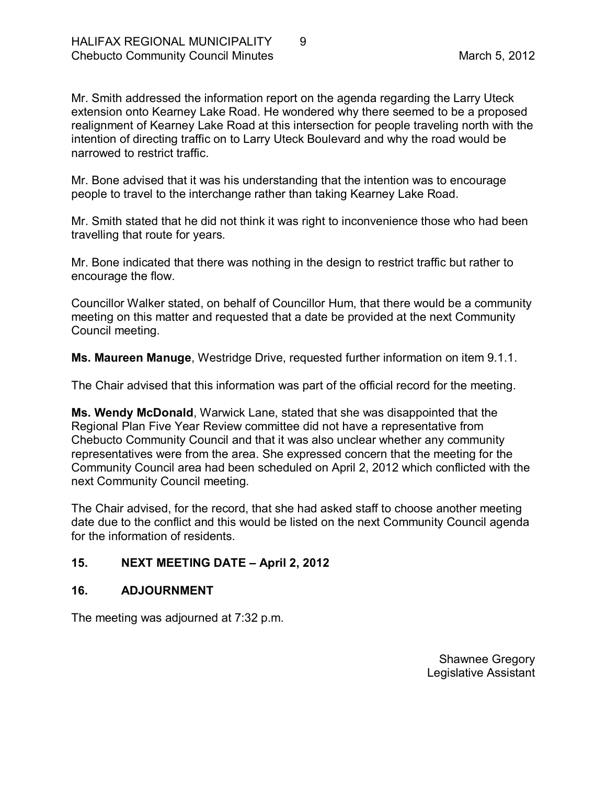Mr. Smith addressed the information report on the agenda regarding the Larry Uteck extension onto Kearney Lake Road. He wondered why there seemed to be a proposed realignment of Kearney Lake Road at this intersection for people traveling north with the intention of directing traffic on to Larry Uteck Boulevard and why the road would be narrowed to restrict traffic.

Mr. Bone advised that it was his understanding that the intention was to encourage people to travel to the interchange rather than taking Kearney Lake Road.

Mr. Smith stated that he did not think it was right to inconvenience those who had been travelling that route for years.

Mr. Bone indicated that there was nothing in the design to restrict traffic but rather to encourage the flow.

Councillor Walker stated, on behalf of Councillor Hum, that there would be a community meeting on this matter and requested that a date be provided at the next Community Council meeting.

**Ms. Maureen Manuge**, Westridge Drive, requested further information on item 9.1.1.

The Chair advised that this information was part of the official record for the meeting.

**Ms. Wendy McDonald**, Warwick Lane, stated that she was disappointed that the Regional Plan Five Year Review committee did not have a representative from Chebucto Community Council and that it was also unclear whether any community representatives were from the area. She expressed concern that the meeting for the Community Council area had been scheduled on April 2, 2012 which conflicted with the next Community Council meeting.

The Chair advised, for the record, that she had asked staff to choose another meeting date due to the conflict and this would be listed on the next Community Council agenda for the information of residents.

# <span id="page-8-0"></span>**15. NEXT MEETING DATE – April 2, 2012**

# <span id="page-8-1"></span>**16. ADJOURNMENT**

The meeting was adjourned at 7:32 p.m.

Shawnee Gregory Legislative Assistant